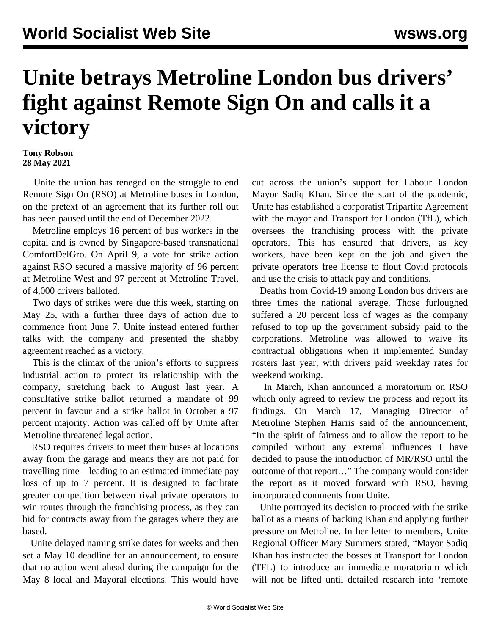## **Unite betrays Metroline London bus drivers' fight against Remote Sign On and calls it a victory**

## **Tony Robson 28 May 2021**

 Unite the union has reneged on the struggle to end Remote Sign On (RSO) at Metroline buses in London, on the pretext of an agreement that its further roll out has been paused until the end of December 2022.

 Metroline employs 16 percent of bus workers in the capital and is owned by Singapore-based transnational ComfortDelGro. On April 9, a vote for strike action against RSO secured a massive majority of 96 percent at Metroline West and 97 percent at Metroline Travel, of 4,000 drivers balloted.

 Two days of strikes were due this week, starting on May 25, with a further three days of action due to commence from June 7. Unite instead entered further talks with the company and presented the shabby agreement reached as a victory.

 This is the climax of the union's efforts to suppress industrial action to protect its relationship with the company, stretching back to August last year. A consultative strike ballot returned a mandate of 99 percent in favour and a strike ballot in October a 97 percent majority. Action was called off by Unite after Metroline threatened legal action.

 RSO requires drivers to meet their buses at locations away from the garage and means they are not paid for travelling time—leading to an estimated immediate pay loss of up to 7 percent. It is designed to facilitate greater competition between rival private operators to win routes through the franchising process, as they can bid for contracts away from the garages where they are based.

 Unite delayed naming strike dates for weeks and then set a May 10 deadline for an announcement, to ensure that no action went ahead during the campaign for the May 8 local and Mayoral elections. This would have cut across the union's support for Labour London Mayor Sadiq Khan. Since the start of the pandemic, Unite has established a corporatist Tripartite Agreement with the mayor and Transport for London (TfL), which oversees the franchising process with the private operators. This has ensured that drivers, as key workers, have been kept on the job and given the private operators free license to flout Covid protocols and use the crisis to attack pay and conditions.

 Deaths from Covid-19 among London bus drivers are three times the national average. Those furloughed suffered a 20 percent loss of wages as the company refused to top up the government subsidy paid to the corporations. Metroline was allowed to waive its contractual obligations when it implemented Sunday rosters last year, with drivers paid weekday rates for weekend working.

 In March, Khan announced a moratorium on RSO which only agreed to review the process and report its findings. On March 17, Managing Director of Metroline Stephen Harris said of the announcement, "In the spirit of fairness and to allow the report to be compiled without any external influences I have decided to pause the introduction of MR/RSO until the outcome of that report…" The company would consider the report as it moved forward with RSO, having incorporated comments from Unite.

 Unite portrayed its decision to proceed with the strike ballot as a means of backing Khan and applying further pressure on Metroline. In her letter to members, Unite Regional Officer Mary Summers stated, "Mayor Sadiq Khan has instructed the bosses at Transport for London (TFL) to introduce an immediate moratorium which will not be lifted until detailed research into 'remote